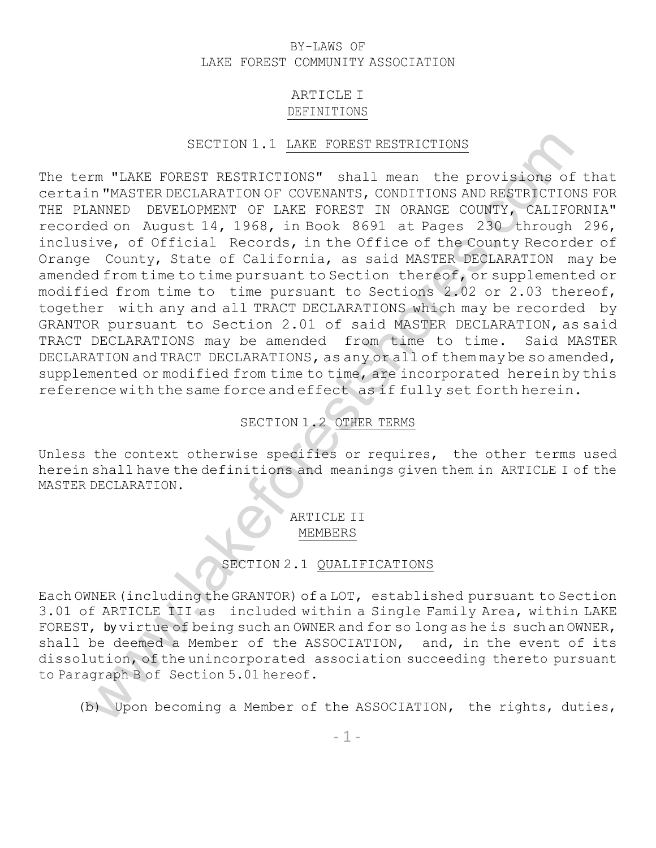### BY-LAWS OF LAKE FOREST COMMUNITY ASSOCIATION

### ARTICLE I DEFINITIONS

### SECTION 1.1 LAKE FOREST RESTRICTIONS

SECTION 1.1 <u>LAKE POREST RESTRICTIONS</u><br>
IMMEDIBIONERY RESTRICTIONS" shall mean the provisions of it<br>
in THARTER DECIDENTIONS CONTITIONS AND RESTRICTIONS<br>
ANNED DEVELOPMENT OF DAKE FOREST IN ORANGE CODYTY, CALIFORNI<br>
Side o The term "LAKE FOREST RESTRICTIONS" shall mean the provisions of that certain "MASTER DECLARATION OF COVENANTS, CONDITIONS AND RESTRICTIONS FOR THE PLANNED DEVELOPMENT OF LAKE FOREST IN ORANGE COUNTY, CALIFORNIA" recorded on August 14, 1968, in Book 8691 at Pages 230 through 296, inclusive, of Official Records, in the Office of the County Recorder of Orange County, State of California, as said MASTER DECLARATION may be amended from time to time pursuant to Section thereof, or supplemented or modified from time to time pursuant to Sections 2.02 or 2.03 thereof, together with any and all TRACT DECLARATIONS which may be recorded by GRANTOR pursuant to Section 2.01 of said MASTER DECLARATION, as said TRACT DECLARATIONS may be amended from time to time. Said MASTER DECLARATION and TRACT DECLARATIONS, as any or all of them may be so amended, supplemented or modified from time to time, are incorporated herein by this reference with the same force and effect as if fully set forth herein.

### SECTION 1.2 OTHER TERMS

Unless the context otherwise specifies or requires, the other terms used herein shall have the definitions and meanings given them in ARTICLE I of the MASTER DECLARATION.

## ARTICLE II MEMBERS

### SECTION 2.1 QUALIFICATIONS

Each OWNER(including theGRANTOR) of a LOT, established pursuant to Section 3.01 of ARTICLE III as included within a Single Family Area, within LAKE FOREST, by virtue of being such an OWNER and for so long as he is such an OWNER, shall be deemed a Member of the ASSOCIATION, and, in the event of its dissolution, of the unincorporated association succeeding thereto pursuant to Paragraph B of Section 5.01 hereof.

(b) Upon becoming a Member of the ASSOCIATION, the rights, duties,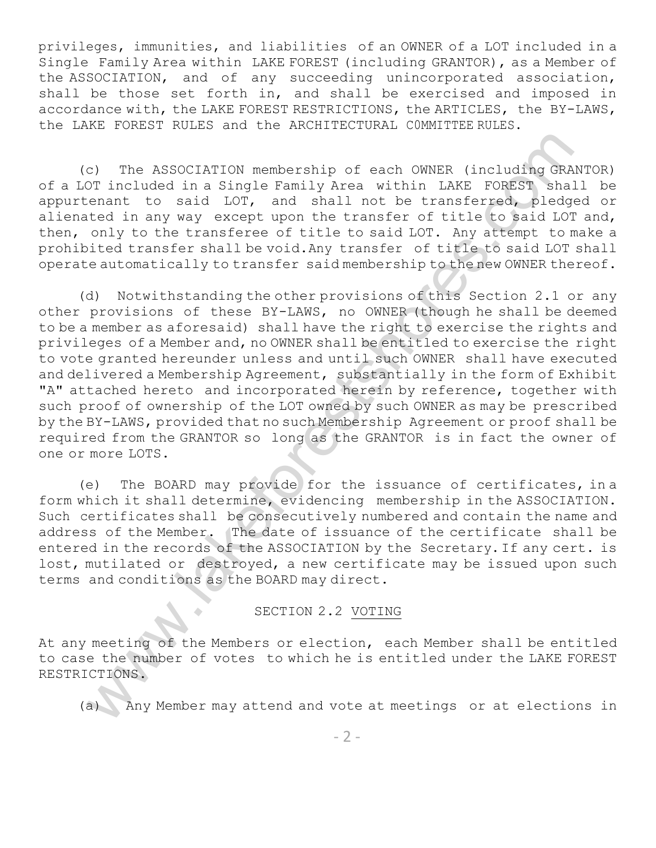privileges, immunities, and liabilities of an OWNER of a LOT included in a Single Family Area within LAKE FOREST (including GRANTOR), as a Member of the ASSOCIATION, and of any succeeding unincorporated association, shall be those set forth in, and shall be exercised and imposed in accordance with, the LAKE FOREST RESTRICTIONS, the ARTICLES, the BY-LAWS, the LAKE FOREST RULES and the ARCHITECTURAL C0MMITTEE RULES.

(c) The ASSOCIATION membership of each OWNER (including GRANTOR) of a LOT included in a Single Family Area within LAKE FOREST shall be appurtenant to said LOT, and shall not be transferred, pledged or alienated in any way except upon the transfer of title to said LOT and, then, only to the transferee of title to said LOT. Any attempt to make a prohibited transfer shall be void.Any transfer of title to said LOT shall operate automatically to transfer said membership to the new OWNER thereof.

c) The ASSOCIATION membership of each CONNER (including GRANTCDT included in a Single Family Area within LAKE FOSEST, shall not helmography pledged<br>committed in any except upon the transferred including GRANTCD shall not<br>t (d) Notwithstanding the other provisions of this Section 2.1 or any other provisions of these BY-LAWS, no OWNER (though he shall be deemed to be a member as aforesaid) shall have the right to exercise the rights and privileges of a Member and, no OWNER shall be entitled to exercise the right to vote granted hereunder unless and until such OWNER shall have executed and delivered a Membership Agreement, substantially in the form of Exhibit "A" attached hereto and incorporated herein by reference, together with such proof of ownership of the LOT owned by such OWNER as may be prescribed by the BY-LAWS, provided that no such Membership Agreement or proof shall be required from the GRANTOR so long as the GRANTOR is in fact the owner of one or more LOTS.

(e) The BOARD may provide for the issuance of certificates, in a form which it shall determine, evidencing membership in the ASSOCIATION. Such certificates shall be consecutively numbered and contain the name and address of the Member. The date of issuance of the certificate shall be entered in the records of the ASSOCIATION by the Secretary. If any cert. is lost, mutilated or destroyed, a new certificate may be issued upon such terms and conditions as the BOARD may direct.

SECTION 2.2 VOTING

At any meeting of the Members or election, each Member shall be entitled to case the number of votes to which he is entitled under the LAKE FOREST RESTRICTIONS.

(a) Any Member may attend and vote at meetings or at elections in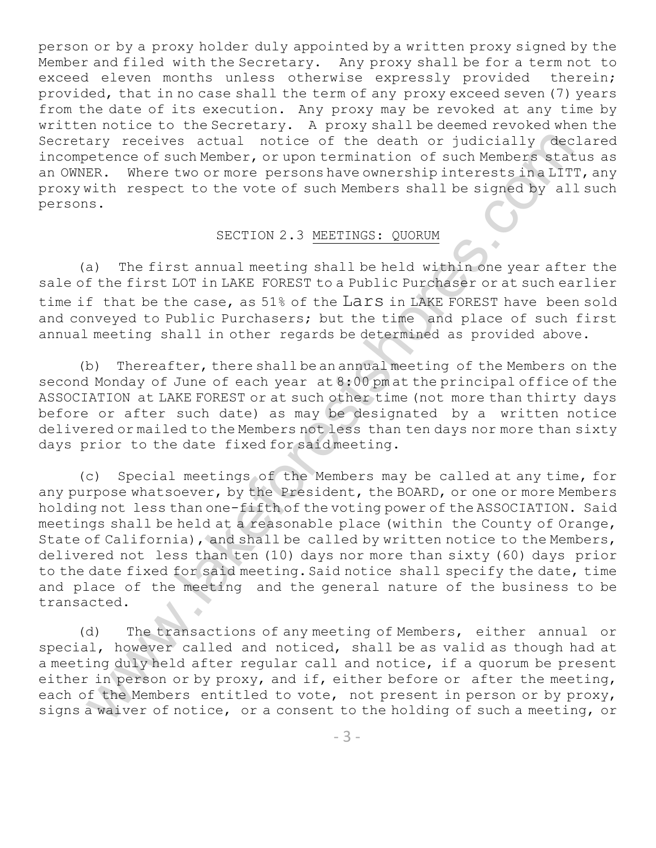person or by a proxy holder duly appointed by a written proxy signed by the Member and filed with the Secretary. Any proxy shall be for a term not to exceed eleven months unless otherwise expressly provided therein; provided, that in no case shall the term of any proxy exceed seven (7) years from the date of its execution. Any proxy may be revoked at any time by written notice to the Secretary. A proxy shall be deemed revoked when the Secretary receives actual notice of the death or judicially declared incompetence of such Member, or upon termination of such Members status as an OWNER. Where two or more persons have ownership interests in a LITT, any proxy with respect to the vote of such Members shall be signed by all such persons.

### SECTION 2.3 MEETINGS: QUORUM

(a) The first annual meeting shall be held within one year after the sale of the first LOT in LAKE FOREST to a Public Purchaser or at such earlier time if that be the case, as 51% of the Lars in LAKE FOREST have been sold and conveyed to Public Purchasers; but the time and place of such first annual meeting shall in other regards be determined as provided above.

(b) Thereafter, there shall be an annual meeting of the Members on the second Monday of June of each year at 8:00 pm at the principal office of the ASSOCIATION at LAKE FOREST or at such other time (not more than thirty days before or after such date) as may be designated by a written notice delivered or mailed to the Members not less than ten days nor more than sixty days prior to the date fixed for said meeting.

ary receives actual noite of the death or judicially declass<br>extended actor in the death or just be death of the death<br>of the death of the status sex. There is no more persons have comencing of such Members status<br>sk. Ther (c) Special meetings of the Members may be called at any time, for any purpose whatsoever, by the President, the BOARD, or one or more Members holding not less than one-fifth of the voting power of the ASSOCIATION. Said meetings shall be held at a reasonable place (within the County of Orange, State of California), and shall be called by written notice to the Members, delivered not less than ten (10) days nor more than sixty (60) days prior to the date fixed for said meeting. Said notice shall specify the date, time and place of the meeting and the general nature of the business to be transacted.

(d) The transactions of any meeting of Members, either annual or special, however called and noticed, shall be as valid as though had at a meeting duly held after regular call and notice, if a quorum be present either in person or by proxy, and if, either before or after the meeting, each of the Members entitled to vote, not present in person or by proxy, signs a waiver of notice, or a consent to the holding of such a meeting, or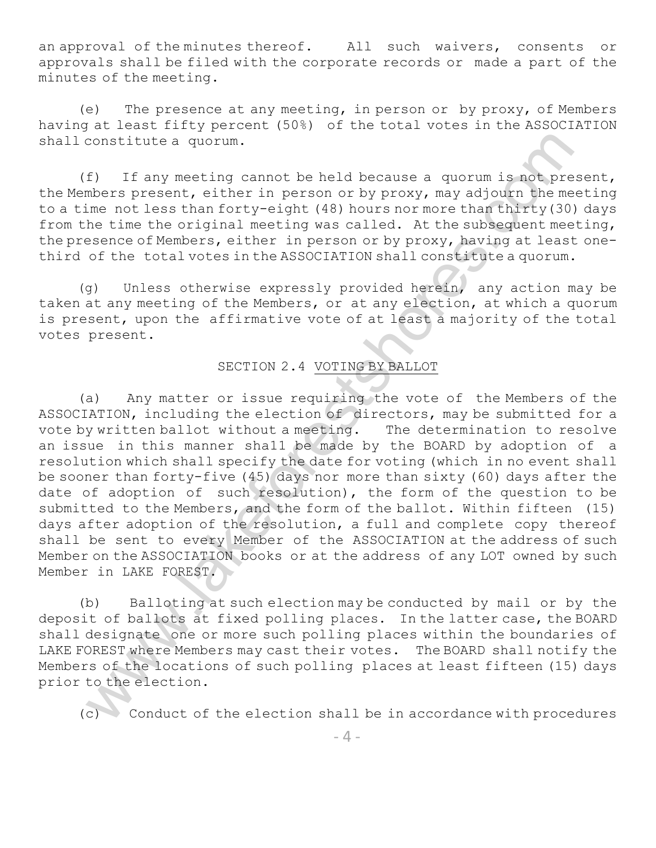an approval of the minutes thereof. All such waivers, consents or approvals shall be filed with the corporate records or made a part of the minutes of the meeting.

(e) The presence at any meeting, in person or by proxy, of Members having at least fifty percent (50%) of the total votes in the ASSOCIATION shall constitute a quorum.

(f) If any meeting cannot be held because a quorum is not present, the Members present, either in person or by proxy, may adjourn the meeting to a time not less than forty-eight (48) hours nor more than thirty(30) days from the time the original meeting was called. At the subsequent meeting, the presence of Members, either in person or by proxy, having at least onethird of the total votes in the ASSOCIATION shall constitute a quorum.

(g) Unless otherwise expressly provided herein, any action may be taken at any meeting of the Members, or at any election, at which a quorum is present, upon the affirmative vote of at least a majority of the total votes present.

## SECTION 2.4 VOTING BY BALLOT

constitute a quorum.<br>
2) If any meeting cannot be held because a quorum is not preser<br>
mise ne reasent, wither in gereno or by proxy, may adjoint like meeting<br>
mise of less than forty-eight (48) hours nor more than factin (a) Any matter or issue requiring the vote of the Members of the ASSOCIATION, including the election of directors, may be submitted for a vote by written ballot without a meeting. The determination to resolve an issue in this manner sha11 be made by the BOARD by adoption of a resolution which shall specify the date for voting (which in no event shall be sooner than forty-five (45) days nor more than sixty (60) days after the date of adoption of such resolution), the form of the question to be submitted to the Members, and the form of the ballot. Within fifteen (15) days after adoption of the resolution, a full and complete copy thereof shall be sent to every Member of the ASSOCIATION at the address of such Member on the ASSOCIATION books or at the address of any LOT owned by such Member in LAKE FOREST.

(b) Balloting at such election may be conducted by mail or by the deposit of ballots at fixed polling places. In the latter case, the BOARD shall designate one or more such polling places within the boundaries of LAKE FOREST where Members may cast their votes. The BOARD shall notify the Members of the locations of such polling places at least fifteen (15) days prior to the election.

(c) Conduct of the election shall be in accordance with procedures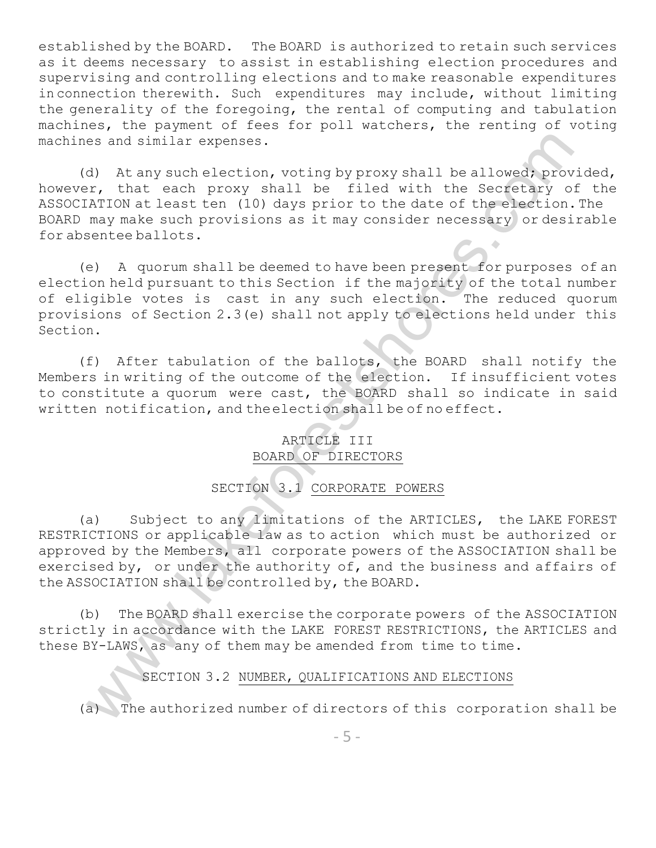established by the BOARD. The BOARD is authorized to retain such services as it deems necessary to assist in establishing election procedures and supervising and controlling elections and to make reasonable expenditures in connection therewith. Such expenditures may include, without limiting the generality of the foregoing, the rental of computing and tabulation machines, the payment of fees for poll watchers, the renting of voting machines and similar expenses.

(d) At any such election, voting by proxy shall be allowed; provided, however, that each proxy shall be filed with the Secretary of the ASSOCIATION at least ten (10) days prior to the date of the election.The BOARD may make such provisions as it may consider necessary or desirable for absentee ballots.

(e) A quorum shall be deemed to have been present for purposes of an election held pursuant to this Section if the majority of the total number of eligible votes is cast in any such election. The reduced quorum provisions of Section 2.3(e) shall not apply to elections held under this Section.

(f) After tabulation of the ballots, the BOARD shall notify the Members in writing of the outcome of the election. If insufficient votes to constitute a quorum were cast, the BOARD shall so indicate in said written notification, and the election shall be of no effect.

## ARTICLE III BOARD OF DIRECTORS

## SECTION 3.1 CORPORATE POWERS

es and similar expenses.<br>
So and selection, voting by proxy shall be allowed provide<br>
So; At any scale become shall be filed with the Secretary of the<br>TON at least ten (10) days prior to the date of the election. The<br>
may (a) Subject to any limitations of the ARTICLES, the LAKE FOREST RESTRICTIONS or applicable law as to action which must be authorized or approved by the Members, all corporate powers of the ASSOCIATION shall be exercised by, or under the authority of, and the business and affairs of the ASSOCIATION shall be controlled by, the BOARD.

(b) The BOARD shall exercise the corporate powers of the ASSOCIATION strictly in accordance with the LAKE FOREST RESTRICTIONS, the ARTICLES and these BY-LAWS, as any of them may be amended from time to time.

SECTION 3.2 NUMBER, QUALIFICATIONS AND ELECTIONS

(a) The authorized number of directors of this corporation shall be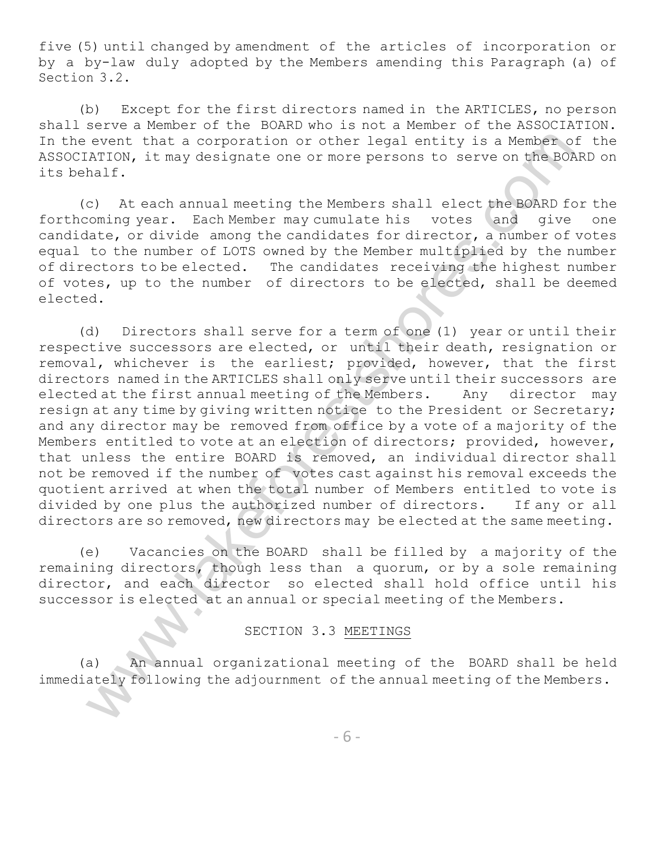five (5) until changed by amendment of the articles of incorporation or by a by-law duly adopted by the Members amending this Paragraph (a) of Section 3.2.

(b) Except for the first directors named in the ARTICLES, no person shall serve a Member of the BOARD who is not a Member of the ASSOCIATION. In the event that a corporation or other legal entity is a Member of the ASSOCIATION, it may designate one or more persons to serve on the BOARD on its behalf.

(c) At each annual meeting the Members shall elect the BOARD for the forthcoming year. Each Member may cumulate his votes and give one candidate, or divide among the candidates for director, a number of votes equal to the number of LOTS owned by the Member multiplied by the number of directors to be elected. The candidates receiving the highest number of votes, up to the number of directors to be elected, shall be deemed elected.

event that a corporation or other legal entity is a Kenner of the reach event that a corporation or other legal entity is a Kenner And Colembus Mariform (c). At each smoon may be signate one or more persons to serve on the (d) Directors shall serve for a term of one (1) year or until their respective successors are elected, or until their death, resignation or removal, whichever is the earliest; provided, however, that the first directors named in the ARTICLES shall only serve until their successors are elected at the first annual meeting of the Members. Any director may resign at any time by giving written notice to the President or Secretary; and any director may be removed from office by a vote of a majority of the Members entitled to vote at an election of directors; provided, however, that unless the entire BOARD is removed, an individual director shall not be removed if the number of votes cast against his removal exceeds the quotient arrived at when the total number of Members entitled to vote is divided by one plus the authorized number of directors. If any or all directors are so removed, new directors may be elected at the same meeting.

(e) Vacancies on the BOARD shall be filled by a majority of the remaining directors, though less than a quorum, or by a sole remaining director, and each director so elected shall hold office until his successor is elected at an annual or special meeting of the Members.

## SECTION 3.3 MEETINGS

(a) An annual organizational meeting of the BOARD shall be held immediately following the adjournment of the annual meeting of the Members.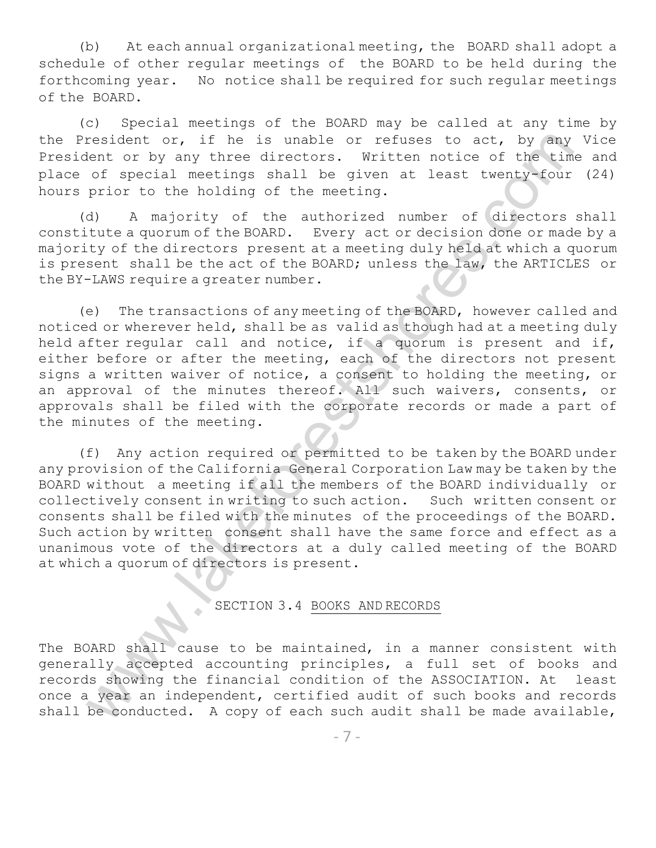(b) At each annual organizational meeting, the BOARD shall adopt a schedule of other regular meetings of the BOARD to be held during the forthcoming year. No notice shall be required for such regular meetings of the BOARD.

(c) Special meetings of the BOARD may be called at any time by the President or, if he is unable or refuses to act, by any Vice President or by any three directors. Written notice of the time and place of special meetings shall be given at least twenty-four (24) hours prior to the holding of the meeting.

(d) A majority of the authorized number of directors shall constitute a quorum of the BOARD. Every act or decision done or made by a majority of the directors present at a meeting duly held at which a quorum is present shall be the act of the BOARD; unless the law, the ARTICLES or the BY-LAWS require a greater number.

(e) The transactions of any meeting of the BOARD, however called and noticed or wherever held, shall be as valid as though had at a meeting duly held after regular call and notice, if a quorum is present and if, either before or after the meeting, each of the directors not present signs a written waiver of notice, a consent to holding the meeting, or an approval of the minutes thereof. All such waivers, consents, or approvals shall be filed with the corporate records or made a part of the minutes of the meeting.

erediant or, if he is unable or refuses to act, by any viscous<br>tent or by any three directors. Written notices of the time and of special meetings shall be given at least twenty-four (2) the meeting. Shall be given at leas (f) Any action required or permitted to be taken by the BOARD under any provision of the California General Corporation Law may be taken by the BOARD without a meeting if all the members of the BOARD individually or collectively consent in writing to such action. Such written consent or consents shall be filed with the minutes of the proceedings of the BOARD. Such action by written consent shall have the same force and effect as a unanimous vote of the directors at a duly called meeting of the BOARD at which a quorum of directors is present.

# SECTION 3.4 BOOKS AND RECORDS

The BOARD shall cause to be maintained, in a manner consistent with generally accepted accounting principles, a full set of books and records showing the financial condition of the ASSOCIATION. At least once a year an independent, certified audit of such books and records shall be conducted. A copy of each such audit shall be made available,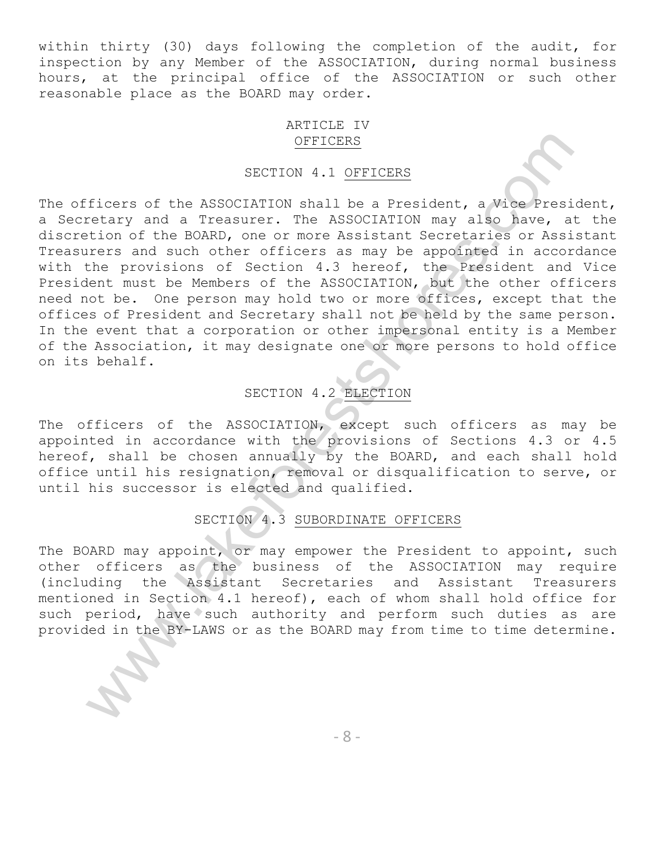within thirty (30) days following the completion of the audit, for inspection by any Member of the ASSOCIATION, during normal business hours, at the principal office of the ASSOCIATION or such other reasonable place as the BOARD may order.

### ARTICLE IV OFFICERS

### SECTION 4.1 OFFICERS

SECTION 4.1 <u>OFFICERS</u><br>
SECTION 4.1 <u>OFFICERS</u><br>
Ficers of the ASSOCIATION shall be a President, e Mice President<br>
retary and a Treasurer. The ASSOCIATION any also have, at this<br>
retary and a Treasurer. The ASSOCIATION any The officers of the ASSOCIATION shall be a President, a Vice President, a Secretary and a Treasurer. The ASSOCIATION may also have, at the discretion of the BOARD, one or more Assistant Secretaries or Assistant Treasurers and such other officers as may be appointed in accordance with the provisions of Section 4.3 hereof, the President and Vice President must be Members of the ASSOCIATION, but the other officers need not be. One person may hold two or more offices, except that the offices of President and Secretary shall not be held by the same person. In the event that a corporation or other impersonal entity is a Member of the Association, it may designate one or more persons to hold office on its behalf.

## SECTION 4.2 ELECTION

The officers of the ASSOCIATION, except such officers as may be appointed in accordance with the provisions of Sections 4.3 or 4.5 hereof, shall be chosen annually by the BOARD, and each shall hold office until his resignation, removal or disqualification to serve, or until his successor is elected and qualified.

## SECTION 4.3 SUBORDINATE OFFICERS

The BOARD may appoint, or may empower the President to appoint, such other officers as the business of the ASSOCIATION may require (including the Assistant Secretaries and Assistant Treasurers mentioned in Section 4.1 hereof), each of whom shall hold office for such period, have such authority and perform such duties as are provided in the BY-LAWS or as the BOARD may from time to time determine.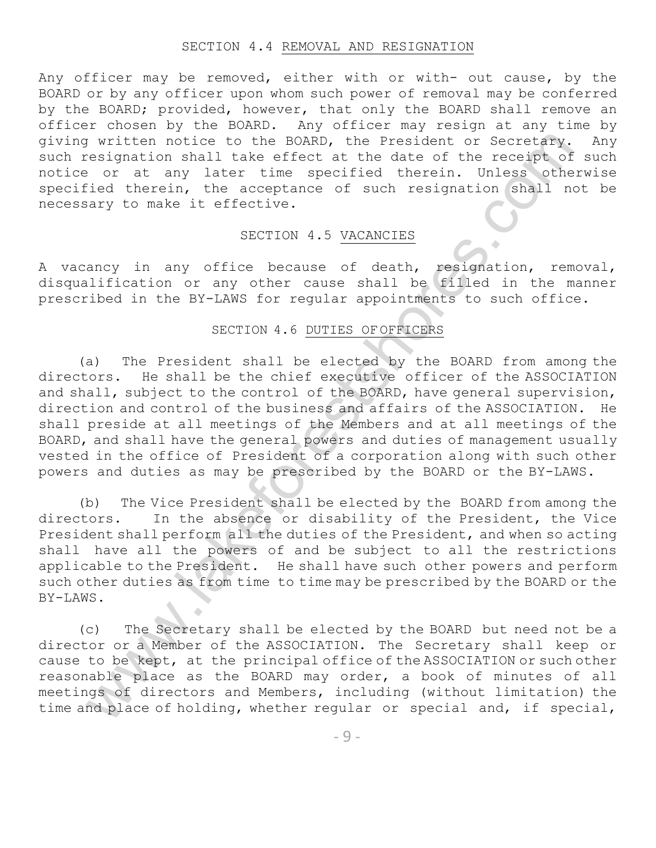#### SECTION 4.4 REMOVAL AND RESIGNATION

Any officer may be removed, either with or with- out cause, by the BOARD or by any officer upon whom such power of removal may be conferred by the BOARD; provided, however, that only the BOARD shall remove an officer chosen by the BOARD. Any officer may resign at any time by giving written notice to the BOARD, the President or Secretary. Any such resignation shall take effect at the date of the receipt of such notice or at any later time specified therein. Unless otherwise specified therein, the acceptance of such resignation shall not be necessary to make it effective.

### SECTION 4.5 VACANCIES

A vacancy in any office because of death, resignation, removal, disqualification or any other cause shall be filled in the manner prescribed in the BY-LAWS for regular appointments to such office.

### SECTION 4.6 DUTIES OF OFFICERS

y written nobite to the DRARD, the President of Secretary, I<br>segignation shall take effect at the date of the receipt of a<br>correlation shall take effect at the date of the receipt of a<br>correlation shall take effective.<br>SSC (a) The President shall be elected by the BOARD from among the directors. He shall be the chief executive officer of the ASSOCIATION and shall, subject to the control of the BOARD, have general supervision, direction and control of the business and affairs of the ASSOCIATION. He shall preside at all meetings of the Members and at all meetings of the BOARD, and shall have the general powers and duties of management usually vested in the office of President of a corporation along with such other powers and duties as may be prescribed by the BOARD or the BY-LAWS.

(b) The Vice President shall be elected by the BOARD from among the directors. In the absence or disability of the President, the Vice President shall perform all the duties of the President, and when so acting shall have all the powers of and be subject to all the restrictions applicable to the President. He shall have such other powers and perform such other duties as from time to time may be prescribed by the BOARD or the BY-LAWS.

(c) The Secretary shall be elected by the BOARD but need not be a director or a Member of the ASSOCIATION. The Secretary shall keep or cause to be kept, at the principal office of the ASSOCIATION or such other reasonable place as the BOARD may order, a book of minutes of all meetings of directors and Members, including (without limitation) the time and place of holding, whether regular or special and, if special,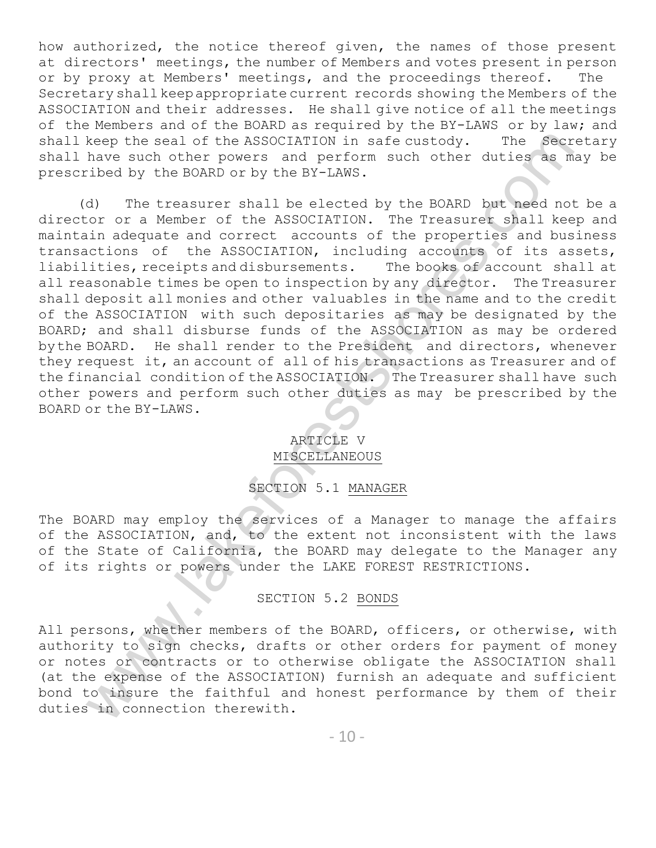how authorized, the notice thereof given, the names of those present at directors' meetings, the number of Members and votes present in person or by proxy at Members' meetings, and the proceedings thereof. The Secretary shallkeepappropriate current records showing the Members of the ASSOCIATION and their addresses. He shall give notice of all the meetings of the Members and of the BOARD as required by the BY-LAWS or by law; and shall keep the seal of the ASSOCIATION in safe custody. The Secretary shall have such other powers and perform such other duties as may be prescribed by the BOARD or by the BY-LAWS.

Keep the sall of the ASSOCINTION in safe custody. The Secretical and the means of the and perform such other duties as may<br>have such other powers and perform such other duties as may<br>(d) The treasurer shall be elected by t (d) The treasurer shall be elected by the BOARD but need not be a director or a Member of the ASSOCIATION. The Treasurer shall keep and maintain adequate and correct accounts of the properties and business transactions of the ASSOCIATION, including accounts of its assets, liabilities, receipts and disbursements. The books of account shall at all reasonable times be open to inspection by any director. The Treasurer shall deposit all monies and other valuables in the name and to the credit of the ASSOCIATION with such depositaries as may be designated by the BOARD; and shall disburse funds of the ASSOCIATION as may be ordered bythe BOARD. He shall render to the President and directors, whenever they request it, an account of all of his transactions as Treasurer and of the financial condition of the ASSOCIATION. The Treasurer shall have such other powers and perform such other duties as may be prescribed by the BOARD or the BY-LAWS.

## ARTICLE V MISCELLANEOUS

SECTION 5.1 MANAGER

The BOARD may employ the services of a Manager to manage the affairs of the ASSOCIATION, and, to the extent not inconsistent with the laws of the State of California, the BOARD may delegate to the Manager any of its rights or powers under the LAKE FOREST RESTRICTIONS.

## SECTION 5.2 BONDS

All persons, whether members of the BOARD, officers, or otherwise, with authority to sign checks, drafts or other orders for payment of money or notes or contracts or to otherwise obligate the ASSOCIATION shall (at the expense of the ASSOCIATION) furnish an adequate and sufficient bond to insure the faithful and honest performance by them of their duties in connection therewith.